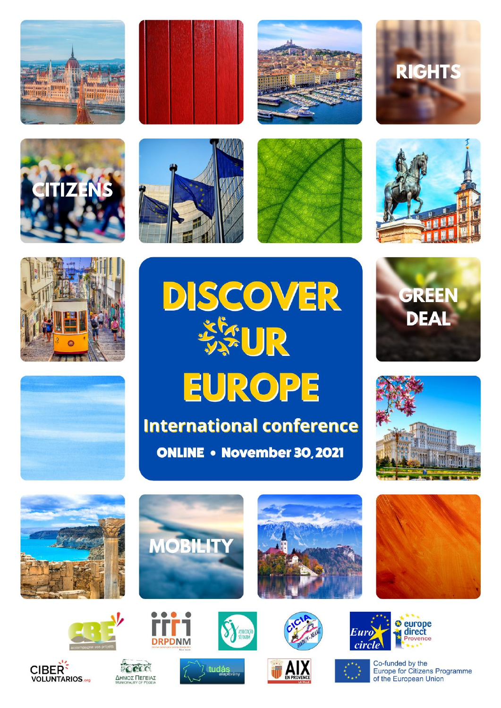



























**CIBER** 

**VOLUNTARIOS** 















**DRPDNM** 





Co-funded by the Europe for Citizens Programme of the European Union